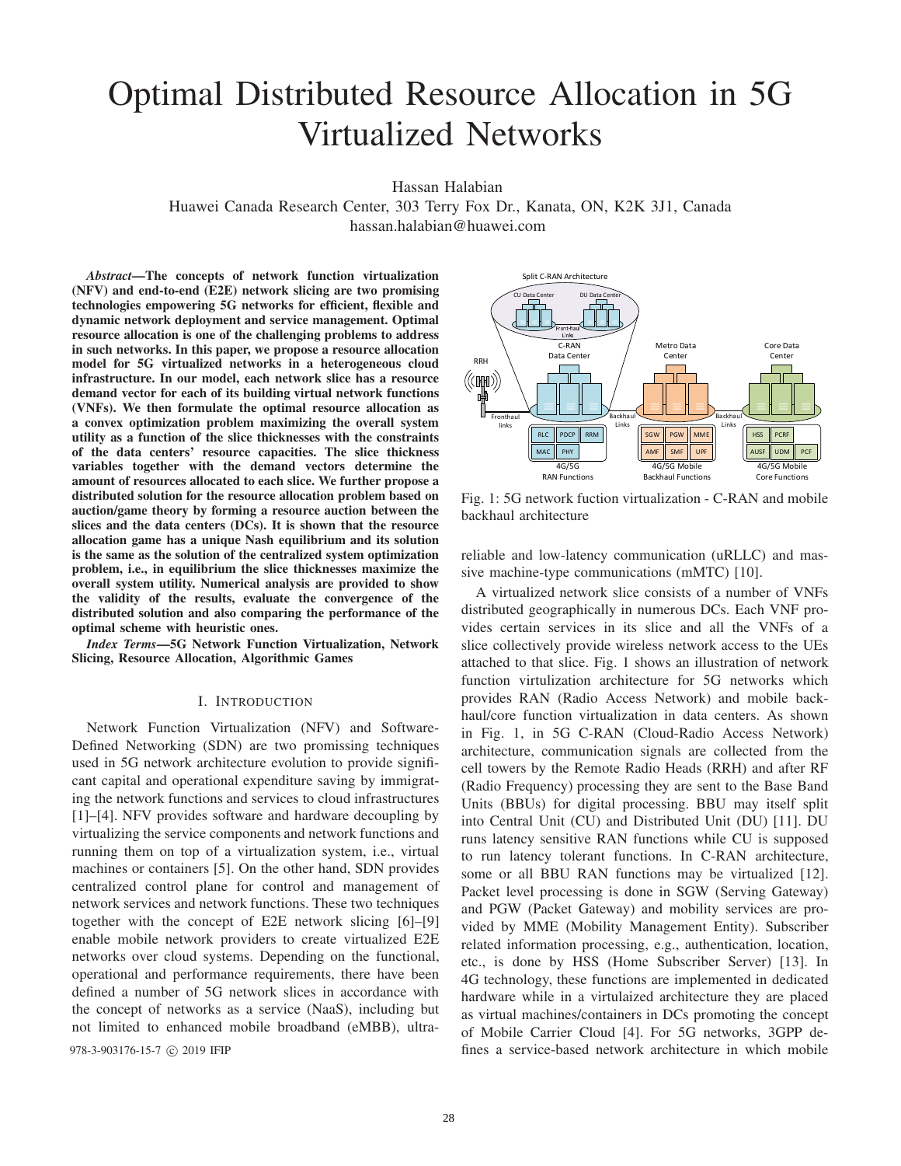# Optimal Distributed Resource Allocation in 5G Virtualized Networks

Hassan Halabian

Huawei Canada Research Center, 303 Terry Fox Dr., Kanata, ON, K2K 3J1, Canada hassan.halabian@huawei.com

*Abstract*—The concepts of network function virtualization (NFV) and end-to-end (E2E) network slicing are two promising technologies empowering 5G networks for efficient, flexible and dynamic network deployment and service management. Optimal resource allocation is one of the challenging problems to address in such networks. In this paper, we propose a resource allocation model for 5G virtualized networks in a heterogeneous cloud infrastructure. In our model, each network slice has a resource demand vector for each of its building virtual network functions (VNFs). We then formulate the optimal resource allocation as a convex optimization problem maximizing the overall system utility as a function of the slice thicknesses with the constraints of the data centers' resource capacities. The slice thickness variables together with the demand vectors determine the amount of resources allocated to each slice. We further propose a distributed solution for the resource allocation problem based on auction/game theory by forming a resource auction between the slices and the data centers (DCs). It is shown that the resource allocation game has a unique Nash equilibrium and its solution is the same as the solution of the centralized system optimization problem, i.e., in equilibrium the slice thicknesses maximize the overall system utility. Numerical analysis are provided to show the validity of the results, evaluate the convergence of the distributed solution and also comparing the performance of the optimal scheme with heuristic ones.

*Index Terms*—5G Network Function Virtualization, Network Slicing, Resource Allocation, Algorithmic Games

## I. INTRODUCTION

Network Function Virtualization (NFV) and Software-Defined Networking (SDN) are two promissing techniques used in 5G network architecture evolution to provide significant capital and operational expenditure saving by immigrating the network functions and services to cloud infrastructures [1]–[4]. NFV provides software and hardware decoupling by virtualizing the service components and network functions and running them on top of a virtualization system, i.e., virtual machines or containers [5]. On the other hand, SDN provides centralized control plane for control and management of network services and network functions. These two techniques together with the concept of E2E network slicing [6]–[9] enable mobile network providers to create virtualized E2E networks over cloud systems. Depending on the functional, operational and performance requirements, there have been defined a number of 5G network slices in accordance with the concept of networks as a service (NaaS), including but not limited to enhanced mobile broadband (eMBB), ultra-



Fig. 1: 5G network fuction virtualization - C-RAN and mobile backhaul architecture

reliable and low-latency communication (uRLLC) and massive machine-type communications (mMTC) [10].

A virtualized network slice consists of a number of VNFs distributed geographically in numerous DCs. Each VNF provides certain services in its slice and all the VNFs of a slice collectively provide wireless network access to the UEs attached to that slice. Fig. 1 shows an illustration of network function virtulization architecture for 5G networks which provides RAN (Radio Access Network) and mobile backhaul/core function virtualization in data centers. As shown in Fig. 1, in 5G C-RAN (Cloud-Radio Access Network) architecture, communication signals are collected from the cell towers by the Remote Radio Heads (RRH) and after RF (Radio Frequency) processing they are sent to the Base Band Units (BBUs) for digital processing. BBU may itself split into Central Unit (CU) and Distributed Unit (DU) [11]. DU runs latency sensitive RAN functions while CU is supposed to run latency tolerant functions. In C-RAN architecture, some or all BBU RAN functions may be virtualized [12]. Packet level processing is done in SGW (Serving Gateway) and PGW (Packet Gateway) and mobility services are provided by MME (Mobility Management Entity). Subscriber related information processing, e.g., authentication, location, etc., is done by HSS (Home Subscriber Server) [13]. In 4G technology, these functions are implemented in dedicated hardware while in a virtulaized architecture they are placed as virtual machines/containers in DCs promoting the concept of Mobile Carrier Cloud [4]. For 5G networks, 3GPP de-978-3-903176-15-7 © 2019 IFIP fines a service-based network architecture in which mobile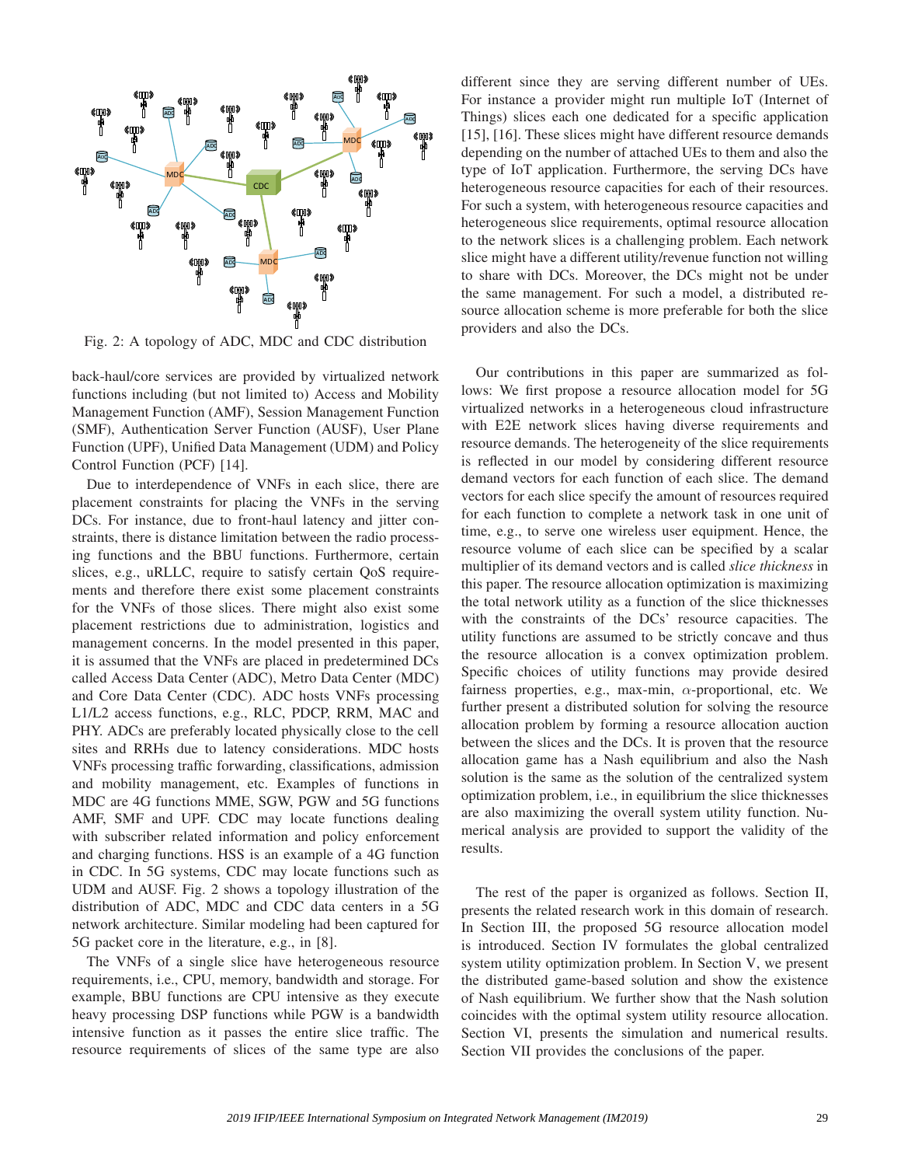

Fig. 2: A topology of ADC, MDC and CDC distribution

back-haul/core services are provided by virtualized network functions including (but not limited to) Access and Mobility Management Function (AMF), Session Management Function (SMF), Authentication Server Function (AUSF), User Plane Function (UPF), Unified Data Management (UDM) and Policy Control Function (PCF) [14].

Due to interdependence of VNFs in each slice, there are placement constraints for placing the VNFs in the serving DCs. For instance, due to front-haul latency and jitter constraints, there is distance limitation between the radio processing functions and the BBU functions. Furthermore, certain slices, e.g., uRLLC, require to satisfy certain QoS requirements and therefore there exist some placement constraints for the VNFs of those slices. There might also exist some placement restrictions due to administration, logistics and management concerns. In the model presented in this paper, it is assumed that the VNFs are placed in predetermined DCs called Access Data Center (ADC), Metro Data Center (MDC) and Core Data Center (CDC). ADC hosts VNFs processing L1/L2 access functions, e.g., RLC, PDCP, RRM, MAC and PHY. ADCs are preferably located physically close to the cell sites and RRHs due to latency considerations. MDC hosts VNFs processing traffic forwarding, classifications, admission and mobility management, etc. Examples of functions in MDC are 4G functions MME, SGW, PGW and 5G functions AMF, SMF and UPF. CDC may locate functions dealing with subscriber related information and policy enforcement and charging functions. HSS is an example of a 4G function in CDC. In 5G systems, CDC may locate functions such as UDM and AUSF. Fig. 2 shows a topology illustration of the distribution of ADC, MDC and CDC data centers in a 5G network architecture. Similar modeling had been captured for 5G packet core in the literature, e.g., in [8].

The VNFs of a single slice have heterogeneous resource requirements, i.e., CPU, memory, bandwidth and storage. For example, BBU functions are CPU intensive as they execute heavy processing DSP functions while PGW is a bandwidth intensive function as it passes the entire slice traffic. The resource requirements of slices of the same type are also

different since they are serving different number of UEs. For instance a provider might run multiple IoT (Internet of Things) slices each one dedicated for a specific application [15], [16]. These slices might have different resource demands depending on the number of attached UEs to them and also the type of IoT application. Furthermore, the serving DCs have heterogeneous resource capacities for each of their resources. For such a system, with heterogeneous resource capacities and heterogeneous slice requirements, optimal resource allocation to the network slices is a challenging problem. Each network slice might have a different utility/revenue function not willing to share with DCs. Moreover, the DCs might not be under the same management. For such a model, a distributed resource allocation scheme is more preferable for both the slice providers and also the DCs.

Our contributions in this paper are summarized as follows: We first propose a resource allocation model for 5G virtualized networks in a heterogeneous cloud infrastructure with E2E network slices having diverse requirements and resource demands. The heterogeneity of the slice requirements is reflected in our model by considering different resource demand vectors for each function of each slice. The demand vectors for each slice specify the amount of resources required for each function to complete a network task in one unit of time, e.g., to serve one wireless user equipment. Hence, the resource volume of each slice can be specified by a scalar multiplier of its demand vectors and is called *slice thickness* in this paper. The resource allocation optimization is maximizing the total network utility as a function of the slice thicknesses with the constraints of the DCs' resource capacities. The utility functions are assumed to be strictly concave and thus the resource allocation is a convex optimization problem. Specific choices of utility functions may provide desired fairness properties, e.g., max-min,  $\alpha$ -proportional, etc. We further present a distributed solution for solving the resource allocation problem by forming a resource allocation auction between the slices and the DCs. It is proven that the resource allocation game has a Nash equilibrium and also the Nash solution is the same as the solution of the centralized system optimization problem, i.e., in equilibrium the slice thicknesses are also maximizing the overall system utility function. Numerical analysis are provided to support the validity of the results.

The rest of the paper is organized as follows. Section II, presents the related research work in this domain of research. In Section III, the proposed 5G resource allocation model is introduced. Section IV formulates the global centralized system utility optimization problem. In Section V, we present the distributed game-based solution and show the existence of Nash equilibrium. We further show that the Nash solution coincides with the optimal system utility resource allocation. Section VI, presents the simulation and numerical results. Section VII provides the conclusions of the paper.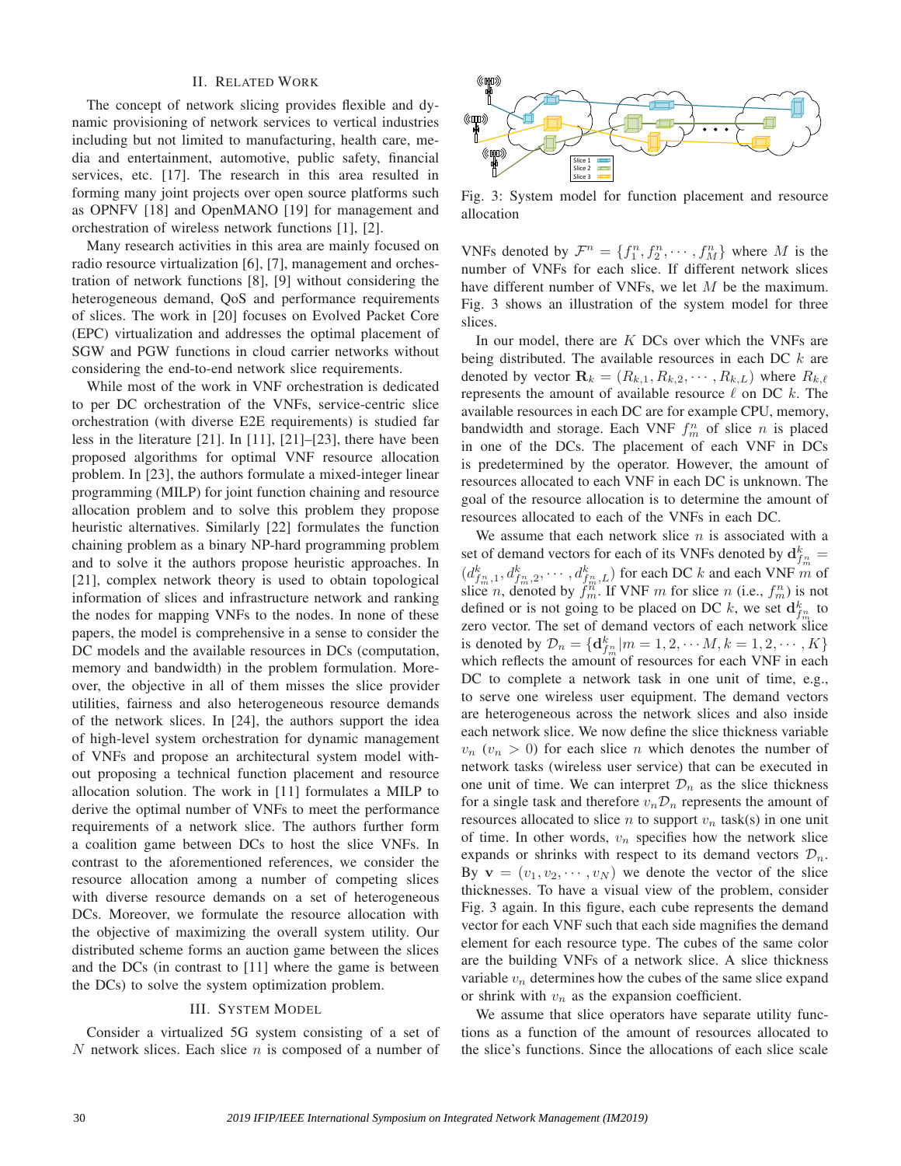## II. RELATED WORK

The concept of network slicing provides flexible and dynamic provisioning of network services to vertical industries including but not limited to manufacturing, health care, media and entertainment, automotive, public safety, financial services, etc. [17]. The research in this area resulted in forming many joint projects over open source platforms such as OPNFV [18] and OpenMANO [19] for management and orchestration of wireless network functions [1], [2].

Many research activities in this area are mainly focused on radio resource virtualization [6], [7], management and orchestration of network functions [8], [9] without considering the heterogeneous demand, QoS and performance requirements of slices. The work in [20] focuses on Evolved Packet Core (EPC) virtualization and addresses the optimal placement of SGW and PGW functions in cloud carrier networks without considering the end-to-end network slice requirements.

While most of the work in VNF orchestration is dedicated to per DC orchestration of the VNFs, service-centric slice orchestration (with diverse E2E requirements) is studied far less in the literature [21]. In [11], [21]–[23], there have been proposed algorithms for optimal VNF resource allocation problem. In [23], the authors formulate a mixed-integer linear programming (MILP) for joint function chaining and resource allocation problem and to solve this problem they propose heuristic alternatives. Similarly [22] formulates the function chaining problem as a binary NP-hard programming problem and to solve it the authors propose heuristic approaches. In [21], complex network theory is used to obtain topological information of slices and infrastructure network and ranking the nodes for mapping VNFs to the nodes. In none of these papers, the model is comprehensive in a sense to consider the DC models and the available resources in DCs (computation, memory and bandwidth) in the problem formulation. Moreover, the objective in all of them misses the slice provider utilities, fairness and also heterogeneous resource demands of the network slices. In [24], the authors support the idea of high-level system orchestration for dynamic management of VNFs and propose an architectural system model without proposing a technical function placement and resource allocation solution. The work in [11] formulates a MILP to derive the optimal number of VNFs to meet the performance requirements of a network slice. The authors further form a coalition game between DCs to host the slice VNFs. In contrast to the aforementioned references, we consider the resource allocation among a number of competing slices with diverse resource demands on a set of heterogeneous DCs. Moreover, we formulate the resource allocation with the objective of maximizing the overall system utility. Our distributed scheme forms an auction game between the slices and the DCs (in contrast to [11] where the game is between the DCs) to solve the system optimization problem.

## III. SYSTEM MODEL

Consider a virtualized 5G system consisting of a set of N network slices. Each slice  $n$  is composed of a number of



Fig. 3: System model for function placement and resource allocation

VNFs denoted by  $\mathcal{F}^n = \{f_1^n, f_2^n, \cdots, f_M^n\}$  where M is the number of VNFs for each slice. If different network slices have different number of VNFs, we let M be the maximum. Fig. 3 shows an illustration of the system model for three slices.

In our model, there are  $K$  DCs over which the VNFs are being distributed. The available resources in each DC  $k$  are denoted by vector  $\mathbf{R}_k = (R_{k,1}, R_{k,2}, \cdots, R_{k,L})$  where  $R_{k,\ell}$ represents the amount of available resource  $\ell$  on DC  $k$ . The available resources in each DC are for example CPU, memory, bandwidth and storage. Each VNF  $f_m^n$  of slice n is placed in one of the DCs. The placement of each VNF in DCs is predetermined by the operator. However, the amount of resources allocated to each VNF in each DC is unknown. The goal of the resource allocation is to determine the amount of resources allocated to each of the VNFs in each DC.

We assume that each network slice  $n$  is associated with a set of demand vectors for each of its VNFs denoted by  $d_{f_m}^k =$  $(d_{f_m^n,1}^k, d_{f_m^n,2}^k, \cdots, d_{f_m^n,L}^k)$  for each DC k and each VNF m of slice *n*, denoted by  $f_m^m$ . If VNF *m* for slice *n* (i.e.,  $f_m^n$ ) is not defined or is not going to be placed on DC k, we set  $\mathbf{d}_{f_m}^k$  to zero vector. The set of demand vectors of each network slice is denoted by  $\mathcal{D}_n = {\mathbf{d}_{f_m^n}^k | m = 1, 2, \cdots M, k = 1, 2, \cdots, K}$ which reflects the amount of resources for each VNF in each DC to complete a network task in one unit of time, e.g., to serve one wireless user equipment. The demand vectors are heterogeneous across the network slices and also inside each network slice. We now define the slice thickness variable  $v_n$  ( $v_n > 0$ ) for each slice *n* which denotes the number of network tasks (wireless user service) that can be executed in one unit of time. We can interpret  $\mathcal{D}_n$  as the slice thickness for a single task and therefore  $v_n \mathcal{D}_n$  represents the amount of resources allocated to slice n to support  $v_n$  task(s) in one unit of time. In other words,  $v_n$  specifies how the network slice expands or shrinks with respect to its demand vectors  $\mathcal{D}_n$ . By  $\mathbf{v} = (v_1, v_2, \dots, v_N)$  we denote the vector of the slice thicknesses. To have a visual view of the problem, consider Fig. 3 again. In this figure, each cube represents the demand vector for each VNF such that each side magnifies the demand element for each resource type. The cubes of the same color are the building VNFs of a network slice. A slice thickness variable  $v_n$  determines how the cubes of the same slice expand or shrink with  $v_n$  as the expansion coefficient.

We assume that slice operators have separate utility functions as a function of the amount of resources allocated to the slice's functions. Since the allocations of each slice scale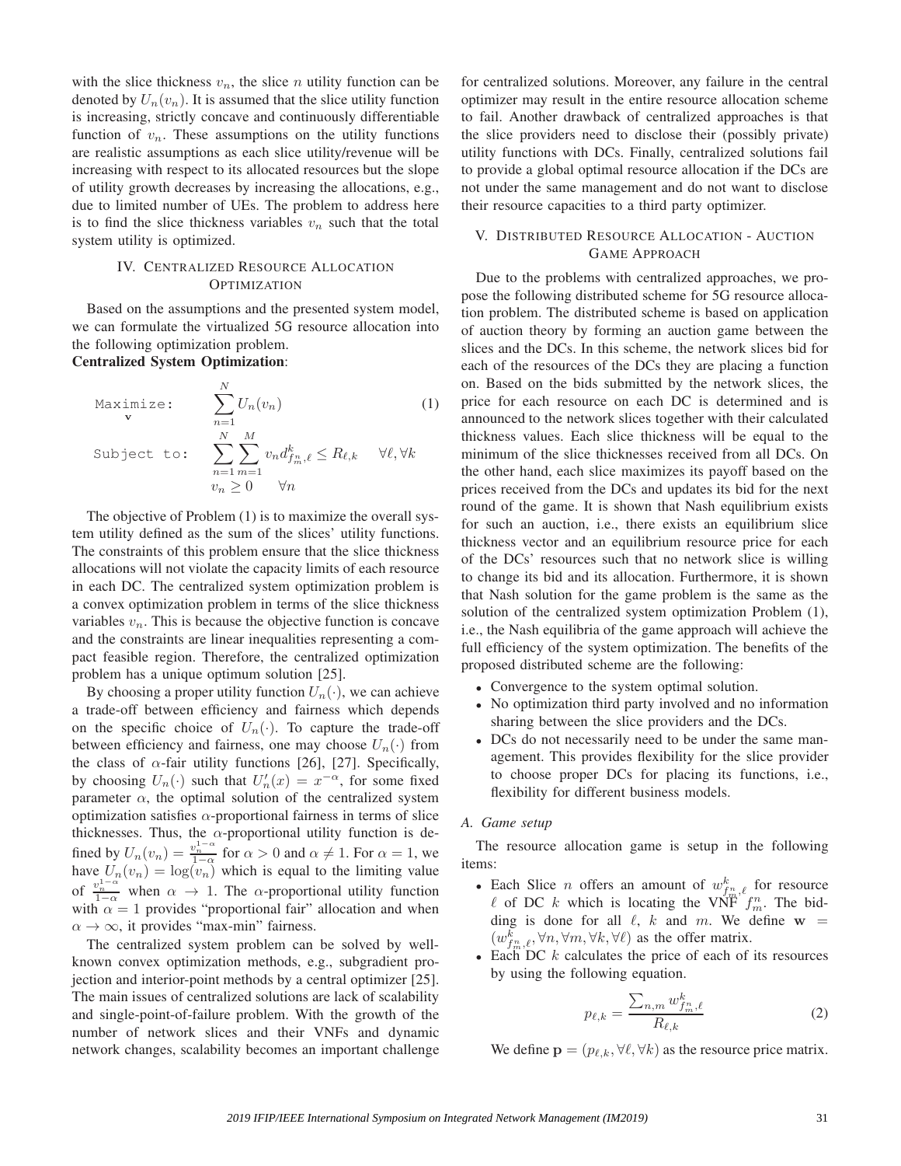with the slice thickness  $v_n$ , the slice n utility function can be denoted by  $U_n(v_n)$ . It is assumed that the slice utility function is increasing, strictly concave and continuously differentiable function of  $v_n$ . These assumptions on the utility functions are realistic assumptions as each slice utility/revenue will be increasing with respect to its allocated resources but the slope of utility growth decreases by increasing the allocations, e.g., due to limited number of UEs. The problem to address here is to find the slice thickness variables  $v_n$  such that the total system utility is optimized.

# IV. CENTRALIZED RESOURCE ALLOCATION **OPTIMIZATION**

Based on the assumptions and the presented system model, we can formulate the virtualized 5G resource allocation into the following optimization problem. Centralized System Optimization:

$$
\begin{array}{ll}\n\text{Maximize:} & \sum_{n=1}^{N} U_n(v_n) \\
\text{Subject to:} & \sum_{n=1}^{N} \sum_{m=1}^{M} v_n d_{f_m, \ell}^k \le R_{\ell, k} \quad \forall \ell, \forall k \\
& v_n \ge 0 \quad \forall n\n\end{array} \tag{1}
$$

The objective of Problem (1) is to maximize the overall system utility defined as the sum of the slices' utility functions. The constraints of this problem ensure that the slice thickness allocations will not violate the capacity limits of each resource in each DC. The centralized system optimization problem is a convex optimization problem in terms of the slice thickness variables  $v_n$ . This is because the objective function is concave and the constraints are linear inequalities representing a compact feasible region. Therefore, the centralized optimization problem has a unique optimum solution [25].

By choosing a proper utility function  $U_n(\cdot)$ , we can achieve a trade-off between efficiency and fairness which depends on the specific choice of  $U_n(\cdot)$ . To capture the trade-off between efficiency and fairness, one may choose  $U_n(\cdot)$  from the class of  $\alpha$ -fair utility functions [26], [27]. Specifically, by choosing  $U_n(\cdot)$  such that  $U'_n(x) = x^{-\alpha}$ , for some fixed parameter  $\alpha$ , the optimal solution of the centralized system optimization satisfies  $\alpha$ -proportional fairness in terms of slice thicknesses. Thus, the  $\alpha$ -proportional utility function is defined by  $U_n(v_n) = \frac{v_n^{1-\alpha}}{1-\alpha}$  for  $\alpha > 0$  and  $\alpha \neq 1$ . For  $\alpha = 1$ , we have  $U_n(v_n) = \log(v_n)$  which is equal to the limiting value of  $\frac{v_n^{1-\alpha}}{1-\alpha}$  when  $\alpha \to 1$ . The  $\alpha$ -proportional utility function with  $\alpha = 1$  provides "proportional fair" allocation and when  $\alpha \to \infty$ , it provides "max-min" fairness.

The centralized system problem can be solved by wellknown convex optimization methods, e.g., subgradient projection and interior-point methods by a central optimizer [25]. The main issues of centralized solutions are lack of scalability and single-point-of-failure problem. With the growth of the number of network slices and their VNFs and dynamic network changes, scalability becomes an important challenge

for centralized solutions. Moreover, any failure in the central optimizer may result in the entire resource allocation scheme to fail. Another drawback of centralized approaches is that the slice providers need to disclose their (possibly private) utility functions with DCs. Finally, centralized solutions fail to provide a global optimal resource allocation if the DCs are not under the same management and do not want to disclose their resource capacities to a third party optimizer.

# V. DISTRIBUTED RESOURCE ALLOCATION - AUCTION GAME APPROACH

Due to the problems with centralized approaches, we propose the following distributed scheme for 5G resource allocation problem. The distributed scheme is based on application of auction theory by forming an auction game between the slices and the DCs. In this scheme, the network slices bid for each of the resources of the DCs they are placing a function on. Based on the bids submitted by the network slices, the price for each resource on each DC is determined and is announced to the network slices together with their calculated thickness values. Each slice thickness will be equal to the minimum of the slice thicknesses received from all DCs. On the other hand, each slice maximizes its payoff based on the prices received from the DCs and updates its bid for the next round of the game. It is shown that Nash equilibrium exists for such an auction, i.e., there exists an equilibrium slice thickness vector and an equilibrium resource price for each of the DCs' resources such that no network slice is willing to change its bid and its allocation. Furthermore, it is shown that Nash solution for the game problem is the same as the solution of the centralized system optimization Problem (1), i.e., the Nash equilibria of the game approach will achieve the full efficiency of the system optimization. The benefits of the proposed distributed scheme are the following:

- Convergence to the system optimal solution.
- No optimization third party involved and no information sharing between the slice providers and the DCs.
- DCs do not necessarily need to be under the same management. This provides flexibility for the slice provider to choose proper DCs for placing its functions, i.e., flexibility for different business models.

## *A. Game setup*

The resource allocation game is setup in the following items:

- Each Slice *n* offers an amount of  $w_{f_m^n,\ell}^k$  for resource  $\ell$  of DC k which is locating the VNF  $f_m^n$ . The bidding is done for all  $\ell$ ,  $k$  and  $m$ . We define  $w =$  $(w_{f_m^n, \ell}^k, \forall n, \forall m, \forall k, \forall \ell)$  as the offer matrix.
- Each DC  $k$  calculates the price of each of its resources by using the following equation.

$$
p_{\ell,k} = \frac{\sum_{n,m} w_{f_m}^k \ell}{R_{\ell,k}} \tag{2}
$$

We define  $\mathbf{p} = (p_{\ell,k}, \forall \ell, \forall k)$  as the resource price matrix.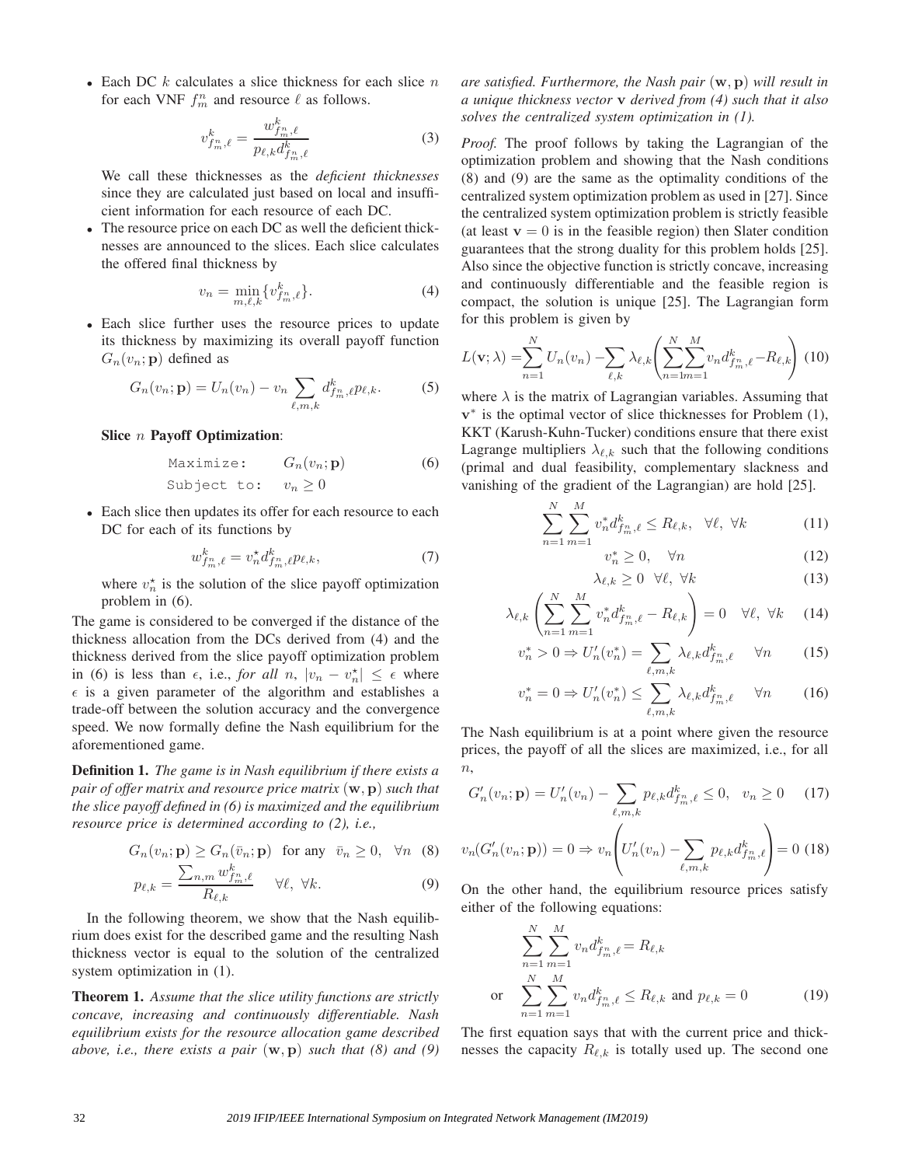• Each DC  $k$  calculates a slice thickness for each slice  $n$ for each VNF  $f_m^n$  and resource  $\ell$  as follows.

$$
v_{f_m^n,\ell}^k = \frac{w_{f_m^n,\ell}^k}{p_{\ell,k} d_{f_m^n,\ell}^k} \tag{3}
$$

We call these thicknesses as the *deficient thicknesses* since they are calculated just based on local and insufficient information for each resource of each DC.

• The resource price on each DC as well the deficient thicknesses are announced to the slices. Each slice calculates the offered final thickness by

$$
v_n = \min_{m,\ell,k} \{ v_{f_m}^k, \ell \}.
$$
 (4)

• Each slice further uses the resource prices to update its thickness by maximizing its overall payoff function  $G_n(v_n; \mathbf{p})$  defined as

$$
G_n(v_n; \mathbf{p}) = U_n(v_n) - v_n \sum_{\ell,m,k} d_{f_m,\ell}^k p_{\ell,k}.
$$
 (5)

Slice n Payoff Optimization:

$$
\begin{array}{ll}\n\text{Maximize:} & G_n(v_n; \mathbf{p}) \\
\text{Subject to:} & v_n \ge 0\n\end{array} \tag{6}
$$

• Each slice then updates its offer for each resource to each DC for each of its functions by

$$
w_{f_m^n,\ell}^k = v_n^* d_{f_m^n,\ell}^k p_{\ell,k},\tag{7}
$$

where  $v_n^*$  is the solution of the slice payoff optimization problem in (6).

The game is considered to be converged if the distance of the thickness allocation from the DCs derived from (4) and the thickness derived from the slice payoff optimization problem in (6) is less than  $\epsilon$ , i.e., *for all*  $n$ ,  $|v_n - v_n^*| \leq \epsilon$  where  $\epsilon$  is a given parameter of the algorithm and establishes a trade-off between the solution accuracy and the convergence speed. We now formally define the Nash equilibrium for the aforementioned game.

Definition 1. *The game is in Nash equilibrium if there exists a pair of offer matrix and resource price matrix* (w, p) *such that the slice payoff defined in (6) is maximized and the equilibrium resource price is determined according to (2), i.e.,*

$$
G_n(v_n; \mathbf{p}) \ge G_n(\bar{v}_n; \mathbf{p}) \quad \text{for any} \quad \bar{v}_n \ge 0, \quad \forall n \quad (8)
$$
  

$$
\sum_{m,n=1}^{\infty} \sum_{m,m=1}^{\infty} \frac{w_{f_m}^k}{w_{f_m}^k} \qquad \forall \ell \quad \forall k \tag{9}
$$

$$
p_{\ell,k} = \frac{\sum_{i,j,k} m_{j,m,\ell}}{R_{\ell,k}} \quad \forall \ell, \forall k. \tag{9}
$$

In the following theorem, we show that the Nash equilibrium does exist for the described game and the resulting Nash thickness vector is equal to the solution of the centralized system optimization in (1).

Theorem 1. *Assume that the slice utility functions are strictly concave, increasing and continuously differentiable. Nash equilibrium exists for the resource allocation game described above, i.e., there exists a pair* (w, p) *such that (8) and (9)*

# *are satisfied. Furthermore, the Nash pair* (w, p) *will result in a unique thickness vector* v *derived from (4) such that it also solves the centralized system optimization in (1).*

*Proof.* The proof follows by taking the Lagrangian of the optimization problem and showing that the Nash conditions (8) and (9) are the same as the optimality conditions of the centralized system optimization problem as used in [27]. Since the centralized system optimization problem is strictly feasible (at least  $v = 0$  is in the feasible region) then Slater condition guarantees that the strong duality for this problem holds [25]. Also since the objective function is strictly concave, increasing and continuously differentiable and the feasible region is compact, the solution is unique [25]. The Lagrangian form for this problem is given by

$$
L(\mathbf{v};\lambda) = \sum_{n=1}^{N} U_n(v_n) - \sum_{\ell,k} \lambda_{\ell,k} \left( \sum_{n=1}^{N} \sum_{m=1}^{M} v_n d_{f_m}^k e^{-R_{\ell,k}} \right) (10)
$$

where  $\lambda$  is the matrix of Lagrangian variables. Assuming that v ∗ is the optimal vector of slice thicknesses for Problem (1), KKT (Karush-Kuhn-Tucker) conditions ensure that there exist Lagrange multipliers  $\lambda_{\ell,k}$  such that the following conditions (primal and dual feasibility, complementary slackness and vanishing of the gradient of the Lagrangian) are hold [25].

$$
\sum_{n=1}^{N} \sum_{m=1}^{M} v_n^* d_{f_m^*,\ell}^k \le R_{\ell,k}, \quad \forall \ell, \forall k \tag{11}
$$

$$
v_n^* \ge 0, \quad \forall n \tag{12}
$$

$$
\lambda_{\ell,k} \ge 0 \quad \forall \ell, \ \forall k \tag{13}
$$

$$
\lambda_{\ell,k} \left( \sum_{n=1}^{N} \sum_{m=1}^{M} v_n^* d_{f_m^*,\ell}^k - R_{\ell,k} \right) = 0 \quad \forall \ell, \ \forall k \quad (14)
$$

$$
v_n^* > 0 \Rightarrow U_n'(v_n^*) = \sum_{\ell,m,k} \lambda_{\ell,k} d_{f_m^n,\ell}^k \quad \forall n \qquad (15)
$$

$$
v_n^* = 0 \Rightarrow U_n'(v_n^*) \le \sum_{\ell,m,k} \lambda_{\ell,k} d_{f_m^n,\ell}^k \quad \forall n \qquad (16)
$$

The Nash equilibrium is at a point where given the resource prices, the payoff of all the slices are maximized, i.e., for all  $n,$ 

$$
G'_{n}(v_{n}; \mathbf{p}) = U'_{n}(v_{n}) - \sum_{\ell,m,k} p_{\ell,k} d^{k}_{f^{n}_{m},\ell} \leq 0, \quad v_{n} \geq 0 \quad (17)
$$

$$
v_n(G'_n(v_n; \mathbf{p})) = 0 \Rightarrow v_n\left(U'_n(v_n) - \sum_{\ell,m,k} p_{\ell,k} d_{f_m}^k \right) = 0 \tag{18}
$$

On the other hand, the equilibrium resource prices satisfy either of the following equations:

$$
\sum_{n=1}^{N} \sum_{m=1}^{M} v_n d_{f_m}^k e = R_{\ell,k}
$$
\nor

\n
$$
\sum_{n=1}^{N} \sum_{m=1}^{M} v_n d_{f_m}^k e \leq R_{\ell,k} \text{ and } p_{\ell,k} = 0
$$
\n(19)

The first equation says that with the current price and thicknesses the capacity  $R_{\ell,k}$  is totally used up. The second one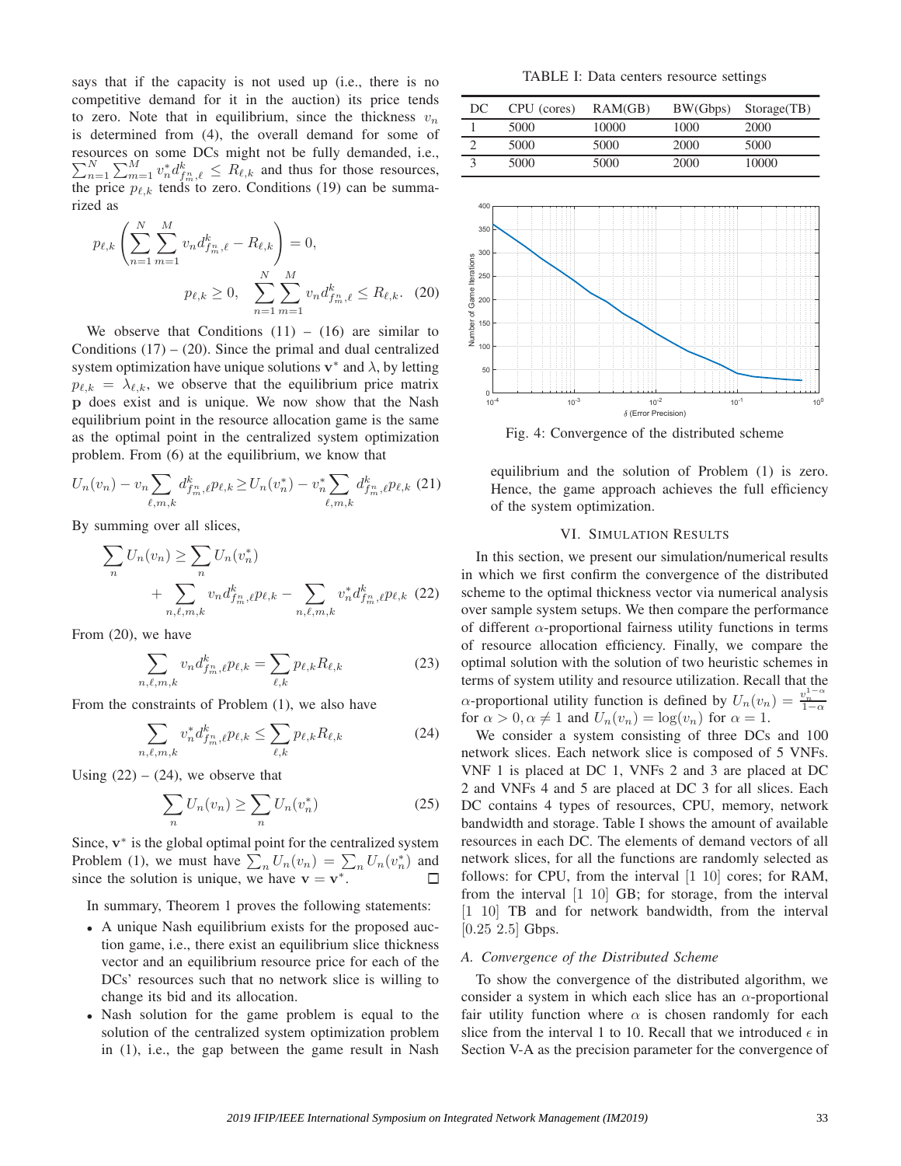says that if the capacity is not used up (i.e., there is no competitive demand for it in the auction) its price tends to zero. Note that in equilibrium, since the thickness  $v_n$ is determined from (4), the overall demand for some of resources on some DCs might not be fully demanded, i.e.,  $\sum_{n=1}^{N} \sum_{m=1}^{M} v_n^* d_{f_m^n,\ell}^k \leq R_{\ell,k}$  and thus for those resources, the price  $p_{\ell,k}$  tends to zero. Conditions (19) can be summarized as

$$
p_{\ell,k} \left( \sum_{n=1}^{N} \sum_{m=1}^{M} v_n d_{f_m^n, \ell}^k - R_{\ell,k} \right) = 0,
$$
  

$$
p_{\ell,k} \ge 0, \quad \sum_{n=1}^{N} \sum_{m=1}^{M} v_n d_{f_m^n, \ell}^k \le R_{\ell,k}.
$$
 (20)

We observe that Conditions  $(11) - (16)$  are similar to Conditions  $(17) - (20)$ . Since the primal and dual centralized system optimization have unique solutions  $v^*$  and  $\lambda$ , by letting  $p_{\ell,k} = \lambda_{\ell,k}$ , we observe that the equilibrium price matrix p does exist and is unique. We now show that the Nash equilibrium point in the resource allocation game is the same as the optimal point in the centralized system optimization problem. From (6) at the equilibrium, we know that

$$
U_n(v_n) - v_n \sum_{\ell,m,k} d_{f_m^n,\ell}^k p_{\ell,k} \ge U_n(v_n^*) - v_n^* \sum_{\ell,m,k} d_{f_m^n,\ell}^k p_{\ell,k}
$$
 (21)

By summing over all slices,

$$
\sum_{n} U_{n}(v_{n}) \geq \sum_{n} U_{n}(v_{n}^{*}) + \sum_{n,\ell,m,k} v_{n} d_{f_{m}^{*},\ell}^{k} p_{\ell,k} - \sum_{n,\ell,m,k} v_{n}^{*} d_{f_{m}^{*},\ell}^{k} p_{\ell,k}
$$
(22)

From (20), we have

$$
\sum_{n,\ell,m,k} v_n d_{f_m}^k \ell p_{\ell,k} = \sum_{\ell,k} p_{\ell,k} R_{\ell,k} \tag{23}
$$

From the constraints of Problem (1), we also have

$$
\sum_{n,\ell,m,k} v_n^* d_{f_m^n,\ell}^k p_{\ell,k} \le \sum_{\ell,k} p_{\ell,k} R_{\ell,k} \tag{24}
$$

Using  $(22) - (24)$ , we observe that

$$
\sum_{n} U_n(v_n) \ge \sum_{n} U_n(v_n^*)
$$
\n(25)

Since,  $v^*$  is the global optimal point for the centralized system Problem (1), we must have  $\sum_n U_n(v_n) = \sum_n U_n(v_n^*)$  and since the solution is unique, we have  $\mathbf{v} = \mathbf{v}^*$ .

In summary, Theorem 1 proves the following statements:

- A unique Nash equilibrium exists for the proposed auction game, i.e., there exist an equilibrium slice thickness vector and an equilibrium resource price for each of the DCs' resources such that no network slice is willing to change its bid and its allocation.
- Nash solution for the game problem is equal to the solution of the centralized system optimization problem in (1), i.e., the gap between the game result in Nash

TABLE I: Data centers resource settings

| DC | CPU (cores) | RAM(GB) |      | BW(Gbps) Storage(TB) |
|----|-------------|---------|------|----------------------|
|    | 5000        | 10000   | 1000 | 2000                 |
|    | 5000        | 5000    | 2000 | 5000                 |
|    | 5000        | 5000    | 2000 | 10000                |



Fig. 4: Convergence of the distributed scheme

equilibrium and the solution of Problem (1) is zero. Hence, the game approach achieves the full efficiency of the system optimization.

## VI. SIMULATION RESULTS

In this section, we present our simulation/numerical results in which we first confirm the convergence of the distributed scheme to the optimal thickness vector via numerical analysis over sample system setups. We then compare the performance of different  $\alpha$ -proportional fairness utility functions in terms of resource allocation efficiency. Finally, we compare the optimal solution with the solution of two heuristic schemes in terms of system utility and resource utilization. Recall that the  $\alpha$ -proportional utility function is defined by  $U_n(v_n) = \frac{v_n^{1-\alpha}}{1-\alpha}$ for  $\alpha > 0, \alpha \neq 1$  and  $U_n(v_n) = \log(v_n)$  for  $\alpha = 1$ .

We consider a system consisting of three DCs and 100 network slices. Each network slice is composed of 5 VNFs. VNF 1 is placed at DC 1, VNFs 2 and 3 are placed at DC 2 and VNFs 4 and 5 are placed at DC 3 for all slices. Each DC contains 4 types of resources, CPU, memory, network bandwidth and storage. Table I shows the amount of available resources in each DC. The elements of demand vectors of all network slices, for all the functions are randomly selected as follows: for CPU, from the interval [1 10] cores; for RAM, from the interval [1 10] GB; for storage, from the interval [1 10] TB and for network bandwidth, from the interval  $[0.25 \ 2.5]$  Gbps.

## *A. Convergence of the Distributed Scheme*

To show the convergence of the distributed algorithm, we consider a system in which each slice has an  $\alpha$ -proportional fair utility function where  $\alpha$  is chosen randomly for each slice from the interval 1 to 10. Recall that we introduced  $\epsilon$  in Section V-A as the precision parameter for the convergence of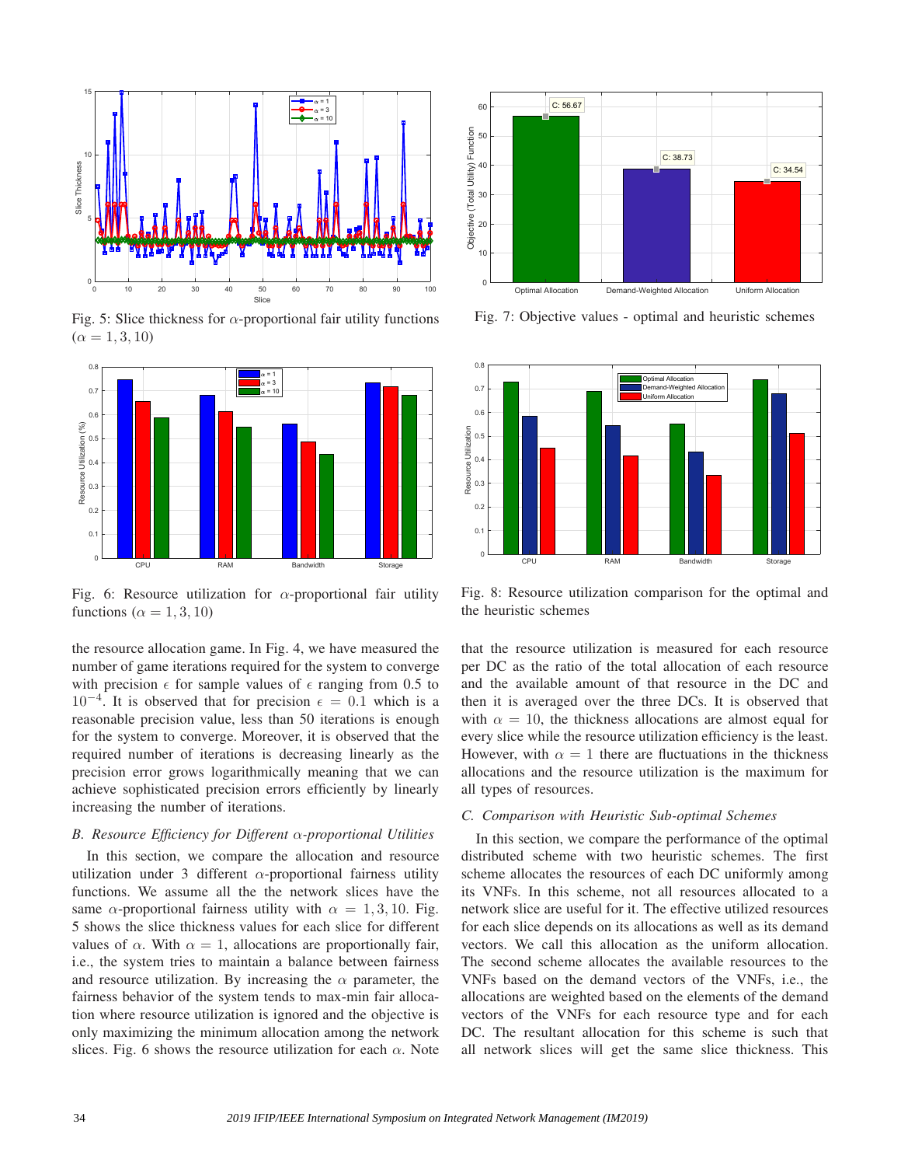

Fig. 5: Slice thickness for  $\alpha$ -proportional fair utility functions  $(\alpha = 1, 3, 10)$ 



Fig. 6: Resource utilization for  $\alpha$ -proportional fair utility functions ( $\alpha = 1, 3, 10$ )

the resource allocation game. In Fig. 4, we have measured the number of game iterations required for the system to converge with precision  $\epsilon$  for sample values of  $\epsilon$  ranging from 0.5 to  $10^{-4}$ . It is observed that for precision  $\epsilon = 0.1$  which is a reasonable precision value, less than 50 iterations is enough for the system to converge. Moreover, it is observed that the required number of iterations is decreasing linearly as the precision error grows logarithmically meaning that we can achieve sophisticated precision errors efficiently by linearly increasing the number of iterations.

#### *B. Resource Efficiency for Different* α*-proportional Utilities*

In this section, we compare the allocation and resource utilization under 3 different  $\alpha$ -proportional fairness utility functions. We assume all the the network slices have the same  $\alpha$ -proportional fairness utility with  $\alpha = 1, 3, 10$ . Fig. 5 shows the slice thickness values for each slice for different values of  $\alpha$ . With  $\alpha = 1$ , allocations are proportionally fair, i.e., the system tries to maintain a balance between fairness and resource utilization. By increasing the  $\alpha$  parameter, the fairness behavior of the system tends to max-min fair allocation where resource utilization is ignored and the objective is only maximizing the minimum allocation among the network slices. Fig. 6 shows the resource utilization for each  $\alpha$ . Note



Fig. 7: Objective values - optimal and heuristic schemes



Fig. 8: Resource utilization comparison for the optimal and the heuristic schemes

that the resource utilization is measured for each resource per DC as the ratio of the total allocation of each resource and the available amount of that resource in the DC and then it is averaged over the three DCs. It is observed that with  $\alpha = 10$ , the thickness allocations are almost equal for every slice while the resource utilization efficiency is the least. However, with  $\alpha = 1$  there are fluctuations in the thickness allocations and the resource utilization is the maximum for all types of resources.

# *C. Comparison with Heuristic Sub-optimal Schemes*

In this section, we compare the performance of the optimal distributed scheme with two heuristic schemes. The first scheme allocates the resources of each DC uniformly among its VNFs. In this scheme, not all resources allocated to a network slice are useful for it. The effective utilized resources for each slice depends on its allocations as well as its demand vectors. We call this allocation as the uniform allocation. The second scheme allocates the available resources to the VNFs based on the demand vectors of the VNFs, i.e., the allocations are weighted based on the elements of the demand vectors of the VNFs for each resource type and for each DC. The resultant allocation for this scheme is such that all network slices will get the same slice thickness. This